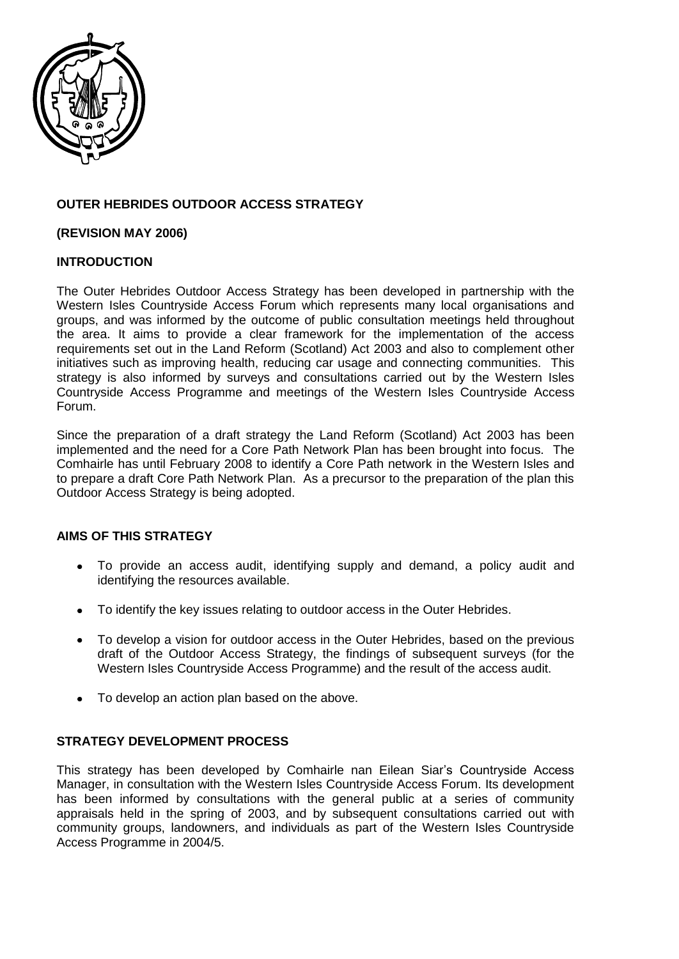

# **OUTER HEBRIDES OUTDOOR ACCESS STRATEGY**

## **(REVISION MAY 2006)**

# **INTRODUCTION**

The Outer Hebrides Outdoor Access Strategy has been developed in partnership with the Western Isles Countryside Access Forum which represents many local organisations and groups, and was informed by the outcome of public consultation meetings held throughout the area. It aims to provide a clear framework for the implementation of the access requirements set out in the Land Reform (Scotland) Act 2003 and also to complement other initiatives such as improving health, reducing car usage and connecting communities. This strategy is also informed by surveys and consultations carried out by the Western Isles Countryside Access Programme and meetings of the Western Isles Countryside Access Forum.

Since the preparation of a draft strategy the Land Reform (Scotland) Act 2003 has been implemented and the need for a Core Path Network Plan has been brought into focus. The Comhairle has until February 2008 to identify a Core Path network in the Western Isles and to prepare a draft Core Path Network Plan. As a precursor to the preparation of the plan this Outdoor Access Strategy is being adopted.

# **AIMS OF THIS STRATEGY**

- $\bullet$ To provide an access audit, identifying supply and demand, a policy audit and identifying the resources available.
- To identify the key issues relating to outdoor access in the Outer Hebrides.  $\bullet$
- To develop a vision for outdoor access in the Outer Hebrides, based on the previous  $\bullet$ draft of the Outdoor Access Strategy, the findings of subsequent surveys (for the Western Isles Countryside Access Programme) and the result of the access audit.
- To develop an action plan based on the above.

# **STRATEGY DEVELOPMENT PROCESS**

This strategy has been developed by Comhairle nan Eilean Siar"s Countryside Access Manager, in consultation with the Western Isles Countryside Access Forum. Its development has been informed by consultations with the general public at a series of community appraisals held in the spring of 2003, and by subsequent consultations carried out with community groups, landowners, and individuals as part of the Western Isles Countryside Access Programme in 2004/5.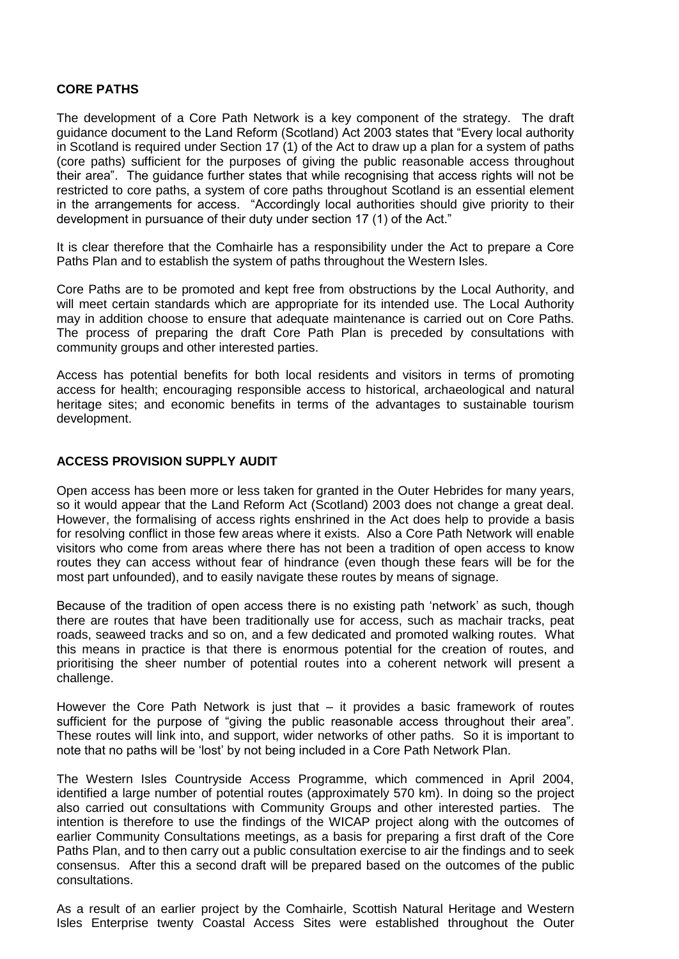#### **CORE PATHS**

The development of a Core Path Network is a key component of the strategy. The draft guidance document to the Land Reform (Scotland) Act 2003 states that "Every local authority in Scotland is required under Section 17 (1) of the Act to draw up a plan for a system of paths (core paths) sufficient for the purposes of giving the public reasonable access throughout their area". The guidance further states that while recognising that access rights will not be restricted to core paths, a system of core paths throughout Scotland is an essential element in the arrangements for access. "Accordingly local authorities should give priority to their development in pursuance of their duty under section 17 (1) of the Act."

It is clear therefore that the Comhairle has a responsibility under the Act to prepare a Core Paths Plan and to establish the system of paths throughout the Western Isles.

Core Paths are to be promoted and kept free from obstructions by the Local Authority, and will meet certain standards which are appropriate for its intended use. The Local Authority may in addition choose to ensure that adequate maintenance is carried out on Core Paths. The process of preparing the draft Core Path Plan is preceded by consultations with community groups and other interested parties.

Access has potential benefits for both local residents and visitors in terms of promoting access for health; encouraging responsible access to historical, archaeological and natural heritage sites; and economic benefits in terms of the advantages to sustainable tourism development.

#### **ACCESS PROVISION SUPPLY AUDIT**

Open access has been more or less taken for granted in the Outer Hebrides for many years, so it would appear that the Land Reform Act (Scotland) 2003 does not change a great deal. However, the formalising of access rights enshrined in the Act does help to provide a basis for resolving conflict in those few areas where it exists. Also a Core Path Network will enable visitors who come from areas where there has not been a tradition of open access to know routes they can access without fear of hindrance (even though these fears will be for the most part unfounded), and to easily navigate these routes by means of signage.

Because of the tradition of open access there is no existing path "network" as such, though there are routes that have been traditionally use for access, such as machair tracks, peat roads, seaweed tracks and so on, and a few dedicated and promoted walking routes. What this means in practice is that there is enormous potential for the creation of routes, and prioritising the sheer number of potential routes into a coherent network will present a challenge.

However the Core Path Network is just that – it provides a basic framework of routes sufficient for the purpose of "giving the public reasonable access throughout their area". These routes will link into, and support, wider networks of other paths. So it is important to note that no paths will be "lost" by not being included in a Core Path Network Plan.

The Western Isles Countryside Access Programme, which commenced in April 2004, identified a large number of potential routes (approximately 570 km). In doing so the project also carried out consultations with Community Groups and other interested parties. The intention is therefore to use the findings of the WICAP project along with the outcomes of earlier Community Consultations meetings, as a basis for preparing a first draft of the Core Paths Plan, and to then carry out a public consultation exercise to air the findings and to seek consensus. After this a second draft will be prepared based on the outcomes of the public consultations.

As a result of an earlier project by the Comhairle, Scottish Natural Heritage and Western Isles Enterprise twenty Coastal Access Sites were established throughout the Outer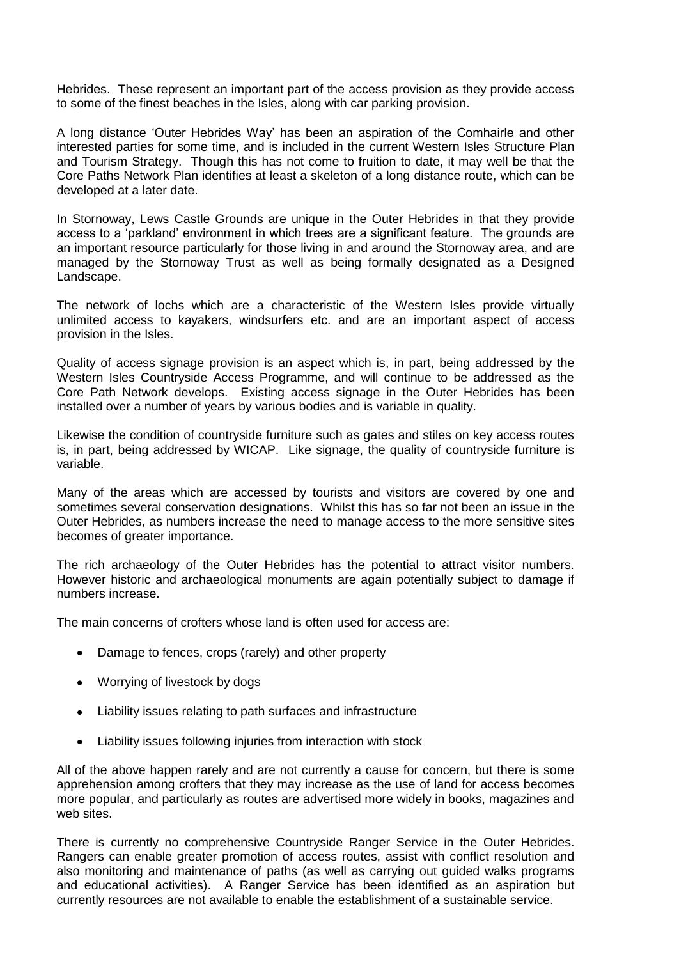Hebrides. These represent an important part of the access provision as they provide access to some of the finest beaches in the Isles, along with car parking provision.

A long distance "Outer Hebrides Way" has been an aspiration of the Comhairle and other interested parties for some time, and is included in the current Western Isles Structure Plan and Tourism Strategy. Though this has not come to fruition to date, it may well be that the Core Paths Network Plan identifies at least a skeleton of a long distance route, which can be developed at a later date.

In Stornoway, Lews Castle Grounds are unique in the Outer Hebrides in that they provide access to a "parkland" environment in which trees are a significant feature. The grounds are an important resource particularly for those living in and around the Stornoway area, and are managed by the Stornoway Trust as well as being formally designated as a Designed Landscape.

The network of lochs which are a characteristic of the Western Isles provide virtually unlimited access to kayakers, windsurfers etc. and are an important aspect of access provision in the Isles.

Quality of access signage provision is an aspect which is, in part, being addressed by the Western Isles Countryside Access Programme, and will continue to be addressed as the Core Path Network develops. Existing access signage in the Outer Hebrides has been installed over a number of years by various bodies and is variable in quality.

Likewise the condition of countryside furniture such as gates and stiles on key access routes is, in part, being addressed by WICAP. Like signage, the quality of countryside furniture is variable.

Many of the areas which are accessed by tourists and visitors are covered by one and sometimes several conservation designations. Whilst this has so far not been an issue in the Outer Hebrides, as numbers increase the need to manage access to the more sensitive sites becomes of greater importance.

The rich archaeology of the Outer Hebrides has the potential to attract visitor numbers. However historic and archaeological monuments are again potentially subject to damage if numbers increase.

The main concerns of crofters whose land is often used for access are:

- Damage to fences, crops (rarely) and other property
- Worrying of livestock by dogs
- Liability issues relating to path surfaces and infrastructure  $\bullet$
- $\bullet$ Liability issues following injuries from interaction with stock

All of the above happen rarely and are not currently a cause for concern, but there is some apprehension among crofters that they may increase as the use of land for access becomes more popular, and particularly as routes are advertised more widely in books, magazines and web sites.

There is currently no comprehensive Countryside Ranger Service in the Outer Hebrides. Rangers can enable greater promotion of access routes, assist with conflict resolution and also monitoring and maintenance of paths (as well as carrying out guided walks programs and educational activities). A Ranger Service has been identified as an aspiration but currently resources are not available to enable the establishment of a sustainable service.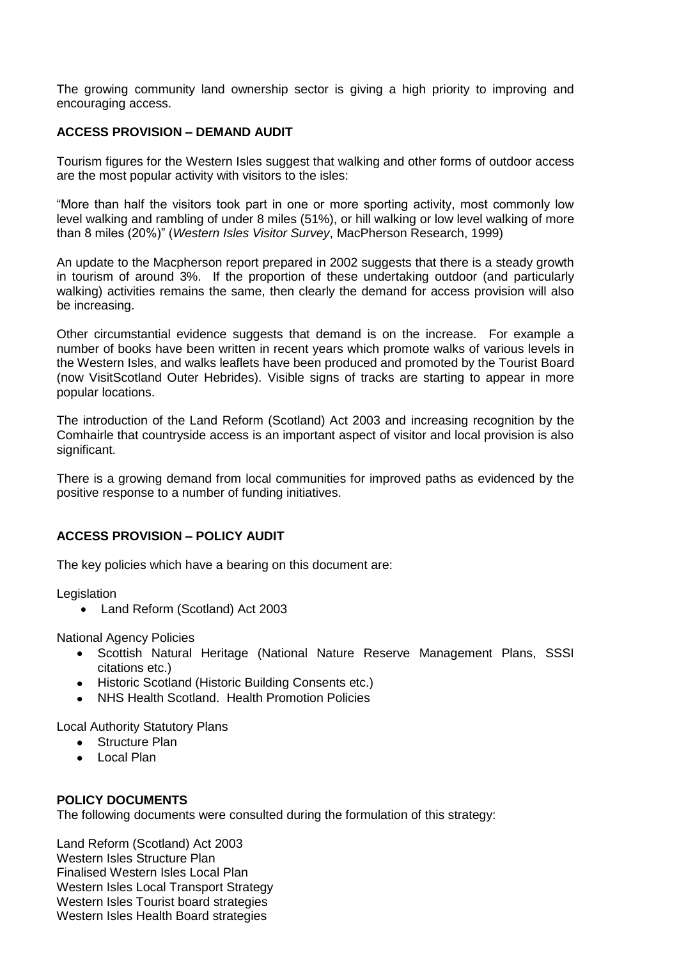The growing community land ownership sector is giving a high priority to improving and encouraging access.

## **ACCESS PROVISION – DEMAND AUDIT**

Tourism figures for the Western Isles suggest that walking and other forms of outdoor access are the most popular activity with visitors to the isles:

"More than half the visitors took part in one or more sporting activity, most commonly low level walking and rambling of under 8 miles (51%), or hill walking or low level walking of more than 8 miles (20%)" (*Western Isles Visitor Survey*, MacPherson Research, 1999)

An update to the Macpherson report prepared in 2002 suggests that there is a steady growth in tourism of around 3%. If the proportion of these undertaking outdoor (and particularly walking) activities remains the same, then clearly the demand for access provision will also be increasing.

Other circumstantial evidence suggests that demand is on the increase. For example a number of books have been written in recent years which promote walks of various levels in the Western Isles, and walks leaflets have been produced and promoted by the Tourist Board (now VisitScotland Outer Hebrides). Visible signs of tracks are starting to appear in more popular locations.

The introduction of the Land Reform (Scotland) Act 2003 and increasing recognition by the Comhairle that countryside access is an important aspect of visitor and local provision is also significant.

There is a growing demand from local communities for improved paths as evidenced by the positive response to a number of funding initiatives.

#### **ACCESS PROVISION – POLICY AUDIT**

The key policies which have a bearing on this document are:

**Legislation** 

Land Reform (Scotland) Act 2003

National Agency Policies

- Scottish Natural Heritage (National Nature Reserve Management Plans, SSSI citations etc.)
- Historic Scotland (Historic Building Consents etc.)
- NHS Health Scotland. Health Promotion Policies

Local Authority Statutory Plans

- Structure Plan
- Local Plan

#### **POLICY DOCUMENTS**

The following documents were consulted during the formulation of this strategy:

Land Reform (Scotland) Act 2003 Western Isles Structure Plan Finalised Western Isles Local Plan Western Isles Local Transport Strategy Western Isles Tourist board strategies Western Isles Health Board strategies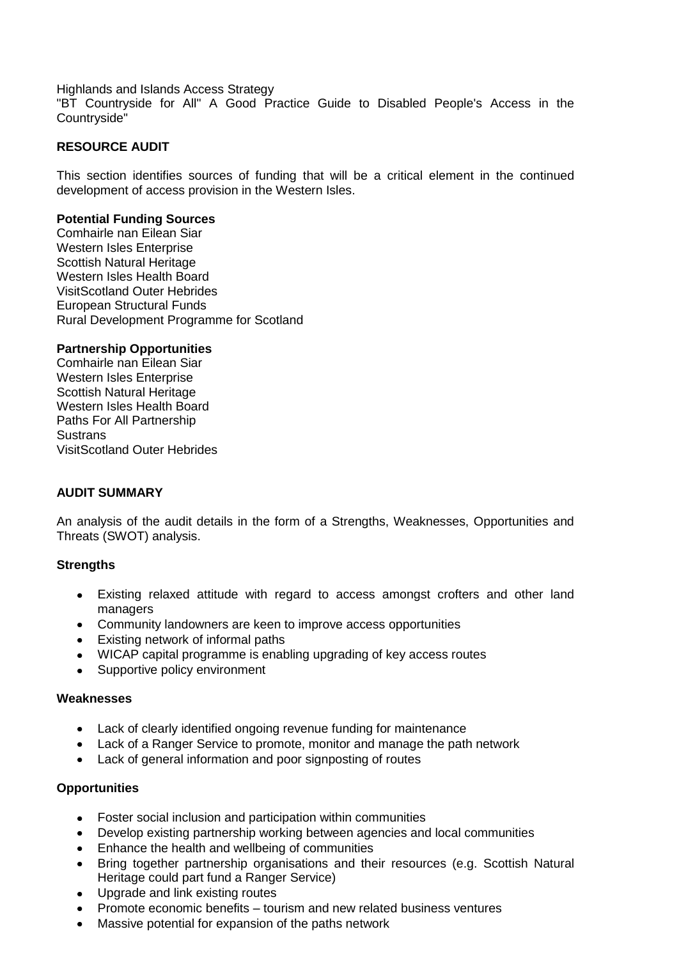Highlands and Islands Access Strategy

"BT Countryside for All" A Good Practice Guide to Disabled People's Access in the Countryside"

#### **RESOURCE AUDIT**

This section identifies sources of funding that will be a critical element in the continued development of access provision in the Western Isles.

#### **Potential Funding Sources**

Comhairle nan Eilean Siar Western Isles Enterprise Scottish Natural Heritage Western Isles Health Board VisitScotland Outer Hebrides European Structural Funds Rural Development Programme for Scotland

#### **Partnership Opportunities**

Comhairle nan Eilean Siar Western Isles Enterprise Scottish Natural Heritage Western Isles Health Board Paths For All Partnership **Sustrans** VisitScotland Outer Hebrides

#### **AUDIT SUMMARY**

An analysis of the audit details in the form of a Strengths, Weaknesses, Opportunities and Threats (SWOT) analysis.

#### **Strengths**

- Existing relaxed attitude with regard to access amongst crofters and other land  $\bullet$ managers
- Community landowners are keen to improve access opportunities
- Existing network of informal paths
- WICAP capital programme is enabling upgrading of key access routes
- Supportive policy environment  $\bullet$

#### **Weaknesses**

- Lack of clearly identified ongoing revenue funding for maintenance
- Lack of a Ranger Service to promote, monitor and manage the path network
- Lack of general information and poor signposting of routes  $\bullet$

#### **Opportunities**

- Foster social inclusion and participation within communities
- Develop existing partnership working between agencies and local communities
- Enhance the health and wellbeing of communities
- Bring together partnership organisations and their resources (e.g. Scottish Natural  $\bullet$ Heritage could part fund a Ranger Service)
- Upgrade and link existing routes
- Promote economic benefits tourism and new related business ventures
- Massive potential for expansion of the paths network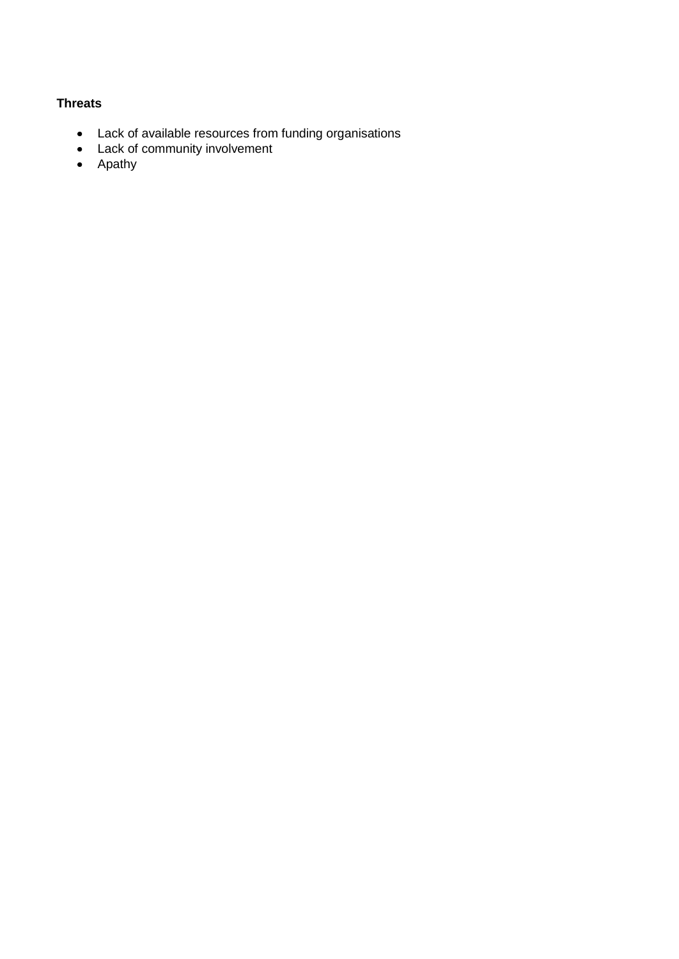# **Threats**

- Lack of available resources from funding organisations
- Lack of community involvement
- Apathy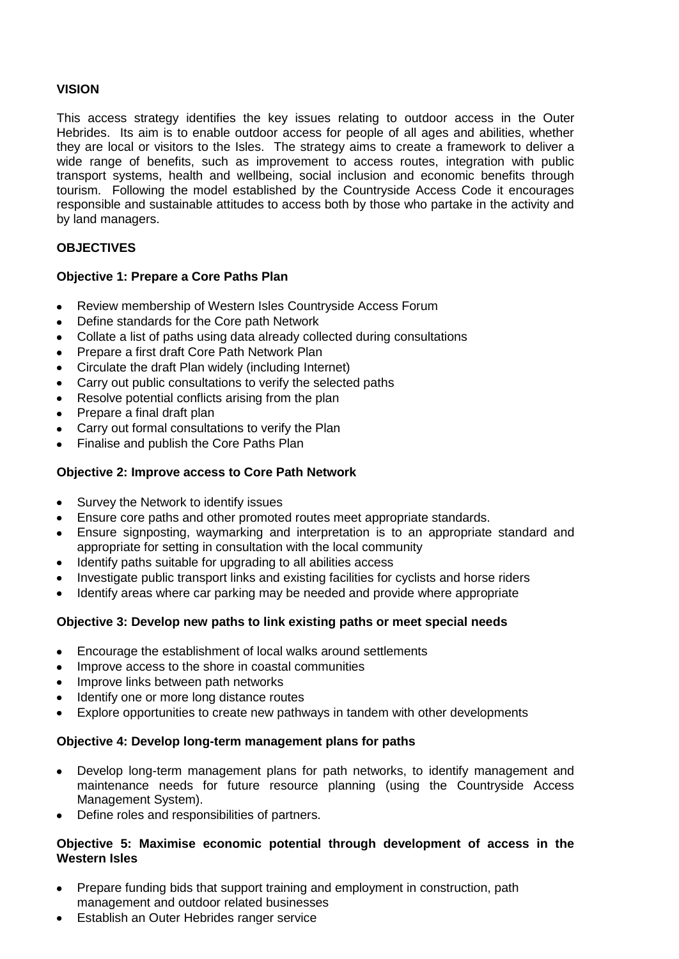## **VISION**

This access strategy identifies the key issues relating to outdoor access in the Outer Hebrides. Its aim is to enable outdoor access for people of all ages and abilities, whether they are local or visitors to the Isles. The strategy aims to create a framework to deliver a wide range of benefits, such as improvement to access routes, integration with public transport systems, health and wellbeing, social inclusion and economic benefits through tourism. Following the model established by the Countryside Access Code it encourages responsible and sustainable attitudes to access both by those who partake in the activity and by land managers.

# **OBJECTIVES**

# **Objective 1: Prepare a Core Paths Plan**

- Review membership of Western Isles Countryside Access Forum
- Define standards for the Core path Network
- Collate a list of paths using data already collected during consultations
- Prepare a first draft Core Path Network Plan
- Circulate the draft Plan widely (including Internet)
- Carry out public consultations to verify the selected paths
- Resolve potential conflicts arising from the plan
- Prepare a final draft plan
- Carry out formal consultations to verify the Plan
- Finalise and publish the Core Paths Plan

# **Objective 2: Improve access to Core Path Network**

- Survey the Network to identify issues
- Ensure core paths and other promoted routes meet appropriate standards.
- Ensure signposting, waymarking and interpretation is to an appropriate standard and appropriate for setting in consultation with the local community
- Identify paths suitable for upgrading to all abilities access
- Investigate public transport links and existing facilities for cyclists and horse riders
- Identify areas where car parking may be needed and provide where appropriate  $\bullet$

#### **Objective 3: Develop new paths to link existing paths or meet special needs**

- Encourage the establishment of local walks around settlements
- Improve access to the shore in coastal communities
- Improve links between path networks
- Identify one or more long distance routes
- Explore opportunities to create new pathways in tandem with other developments

#### **Objective 4: Develop long-term management plans for paths**

- Develop long-term management plans for path networks, to identify management and  $\bullet$ maintenance needs for future resource planning (using the Countryside Access Management System).
- Define roles and responsibilities of partners.

# **Objective 5: Maximise economic potential through development of access in the Western Isles**

- Prepare funding bids that support training and employment in construction, path management and outdoor related businesses
- Establish an Outer Hebrides ranger service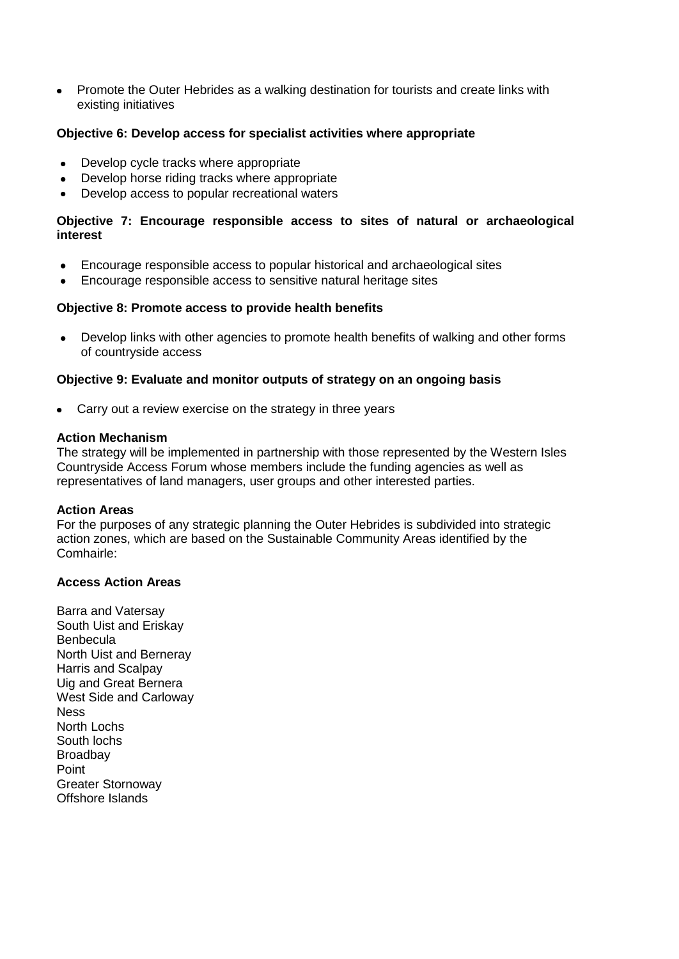Promote the Outer Hebrides as a walking destination for tourists and create links with  $\bullet$ existing initiatives

## **Objective 6: Develop access for specialist activities where appropriate**

- Develop cycle tracks where appropriate  $\bullet$
- Develop horse riding tracks where appropriate
- Develop access to popular recreational waters

# **Objective 7: Encourage responsible access to sites of natural or archaeological interest**

- Encourage responsible access to popular historical and archaeological sites
- Encourage responsible access to sensitive natural heritage sites

#### **Objective 8: Promote access to provide health benefits**

Develop links with other agencies to promote health benefits of walking and other forms  $\bullet$ of countryside access

#### **Objective 9: Evaluate and monitor outputs of strategy on an ongoing basis**

Carry out a review exercise on the strategy in three years

#### **Action Mechanism**

The strategy will be implemented in partnership with those represented by the Western Isles Countryside Access Forum whose members include the funding agencies as well as representatives of land managers, user groups and other interested parties.

#### **Action Areas**

For the purposes of any strategic planning the Outer Hebrides is subdivided into strategic action zones, which are based on the Sustainable Community Areas identified by the Comhairle:

#### **Access Action Areas**

Barra and Vatersay South Uist and Eriskay **Benbecula** North Uist and Berneray Harris and Scalpay Uig and Great Bernera West Side and Carloway **Ness** North Lochs South lochs **Broadbay** Point Greater Stornoway Offshore Islands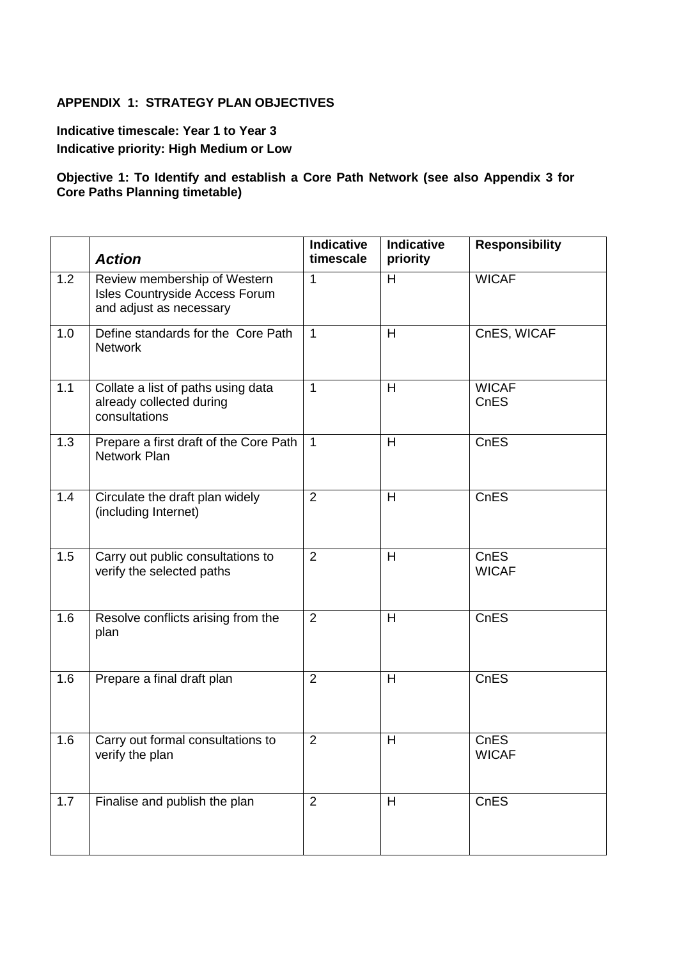# **APPENDIX 1: STRATEGY PLAN OBJECTIVES**

**Indicative timescale: Year 1 to Year 3 Indicative priority: High Medium or Low**

## **Objective 1: To Identify and establish a Core Path Network (see also Appendix 3 for Core Paths Planning timetable)**

|     | <b>Action</b>                                                                             | <b>Indicative</b><br>timescale | <b>Indicative</b><br>priority | <b>Responsibility</b> |
|-----|-------------------------------------------------------------------------------------------|--------------------------------|-------------------------------|-----------------------|
| 1.2 | Review membership of Western<br>Isles Countryside Access Forum<br>and adjust as necessary | $\mathbf 1$                    | H                             | <b>WICAF</b>          |
| 1.0 | Define standards for the Core Path<br><b>Network</b>                                      | $\mathbf{1}$                   | H                             | CnES, WICAF           |
| 1.1 | Collate a list of paths using data<br>already collected during<br>consultations           | 1                              | H                             | <b>WICAF</b><br>CnES  |
| 1.3 | Prepare a first draft of the Core Path<br><b>Network Plan</b>                             | $\mathbf{1}$                   | H                             | CnES                  |
| 1.4 | Circulate the draft plan widely<br>(including Internet)                                   | 2                              | H                             | CnES                  |
| 1.5 | Carry out public consultations to<br>verify the selected paths                            | $\overline{2}$                 | H                             | CnES<br><b>WICAF</b>  |
| 1.6 | Resolve conflicts arising from the<br>plan                                                | $\overline{2}$                 | H                             | CnES                  |
| 1.6 | Prepare a final draft plan                                                                | $\overline{2}$                 | $\overline{H}$                | CnES                  |
| 1.6 | Carry out formal consultations to<br>verify the plan                                      | $\overline{2}$                 | H                             | CnES<br><b>WICAF</b>  |
| 1.7 | Finalise and publish the plan                                                             | $\overline{2}$                 | H                             | CnES                  |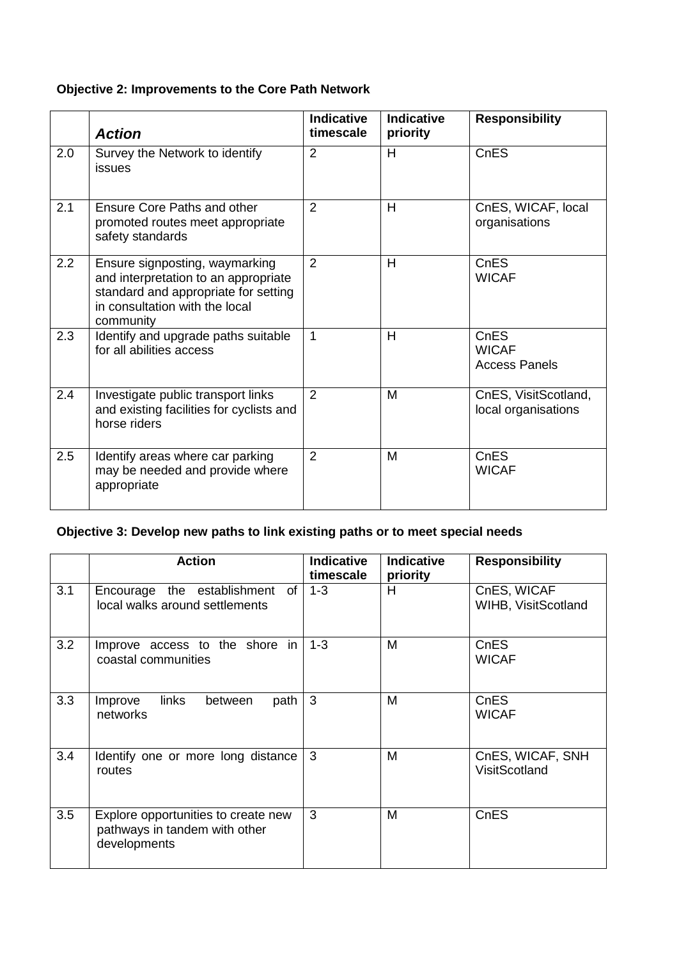# **Objective 2: Improvements to the Core Path Network**

|     | <b>Action</b>                                                                                                                                                 | <b>Indicative</b><br>timescale | <b>Indicative</b><br>priority | <b>Responsibility</b>                        |
|-----|---------------------------------------------------------------------------------------------------------------------------------------------------------------|--------------------------------|-------------------------------|----------------------------------------------|
| 2.0 | Survey the Network to identify<br>issues                                                                                                                      | $\overline{2}$                 | H                             | CnES                                         |
| 2.1 | Ensure Core Paths and other<br>promoted routes meet appropriate<br>safety standards                                                                           | $\overline{2}$                 | H                             | CnES, WICAF, local<br>organisations          |
| 2.2 | Ensure signposting, waymarking<br>and interpretation to an appropriate<br>standard and appropriate for setting<br>in consultation with the local<br>community | $\overline{2}$                 | H                             | <b>CnES</b><br><b>WICAF</b>                  |
| 2.3 | Identify and upgrade paths suitable<br>for all abilities access                                                                                               | 1                              | H                             | CnES<br><b>WICAF</b><br><b>Access Panels</b> |
| 2.4 | Investigate public transport links<br>and existing facilities for cyclists and<br>horse riders                                                                | $\overline{2}$                 | M                             | CnES, VisitScotland,<br>local organisations  |
| 2.5 | Identify areas where car parking<br>may be needed and provide where<br>appropriate                                                                            | $\overline{2}$                 | M                             | <b>CnES</b><br><b>WICAF</b>                  |

# **Objective 3: Develop new paths to link existing paths or to meet special needs**

|     | <b>Action</b>                                                                        | <b>Indicative</b><br>timescale | <b>Indicative</b><br>priority | <b>Responsibility</b>              |
|-----|--------------------------------------------------------------------------------------|--------------------------------|-------------------------------|------------------------------------|
| 3.1 | Encourage the establishment<br>of<br>local walks around settlements                  | $1 - 3$                        | H.                            | CnES, WICAF<br>WIHB, VisitScotland |
| 3.2 | Improve access to the shore in<br>coastal communities                                | $1 - 3$                        | M                             | CnES<br><b>WICAF</b>               |
| 3.3 | links<br>path<br>Improve<br>between<br>networks                                      | 3                              | M                             | CnES<br><b>WICAF</b>               |
| 3.4 | Identify one or more long distance<br>routes                                         | 3                              | M                             | CnES, WICAF, SNH<br>VisitScotland  |
| 3.5 | Explore opportunities to create new<br>pathways in tandem with other<br>developments | 3                              | M                             | CnES                               |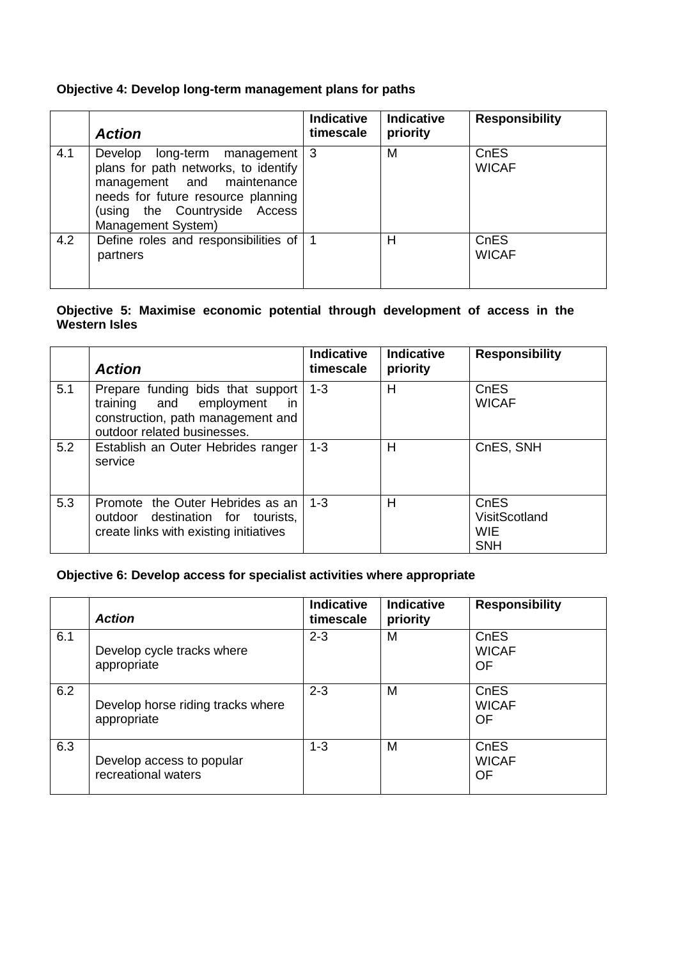# **Objective 4: Develop long-term management plans for paths**

|     | <b>Action</b>                                                                                                                                                                                   | <b>Indicative</b><br>timescale | <b>Indicative</b><br>priority | <b>Responsibility</b> |
|-----|-------------------------------------------------------------------------------------------------------------------------------------------------------------------------------------------------|--------------------------------|-------------------------------|-----------------------|
| 4.1 | Develop long-term management<br>plans for path networks, to identify<br>management and maintenance<br>needs for future resource planning<br>(using the Countryside Access<br>Management System) | -3                             | M                             | CnES<br><b>WICAF</b>  |
| 4.2 | Define roles and responsibilities of<br>partners                                                                                                                                                |                                | Н                             | CnES<br><b>WICAF</b>  |

#### **Objective 5: Maximise economic potential through development of access in the Western Isles**

|     | <b>Action</b>                                                                                                                                 | <b>Indicative</b><br>timescale | <b>Indicative</b><br>priority | <b>Responsibility</b>                             |
|-----|-----------------------------------------------------------------------------------------------------------------------------------------------|--------------------------------|-------------------------------|---------------------------------------------------|
| 5.1 | Prepare funding bids that support<br>training and employment<br><i>in</i><br>construction, path management and<br>outdoor related businesses. | $1 - 3$                        | H                             | CnES<br><b>WICAF</b>                              |
| 5.2 | Establish an Outer Hebrides ranger<br>service                                                                                                 | $1 - 3$                        | H                             | CnES, SNH                                         |
| 5.3 | Promote the Outer Hebrides as an<br>outdoor destination for tourists,<br>create links with existing initiatives                               | $1 - 3$                        | H                             | CnES<br>VisitScotland<br><b>WIE</b><br><b>SNH</b> |

# **Objective 6: Develop access for specialist activities where appropriate**

|     | <b>Action</b>                                    | <b>Indicative</b><br>timescale | <b>Indicative</b><br>priority | <b>Responsibility</b>      |
|-----|--------------------------------------------------|--------------------------------|-------------------------------|----------------------------|
| 6.1 | Develop cycle tracks where<br>appropriate        | $2 - 3$                        | M                             | CnES<br><b>WICAF</b><br>OF |
| 6.2 | Develop horse riding tracks where<br>appropriate | $2 - 3$                        | M                             | CnES<br><b>WICAF</b><br>OF |
| 6.3 | Develop access to popular<br>recreational waters | $1 - 3$                        | M                             | CnES<br><b>WICAF</b><br>OF |